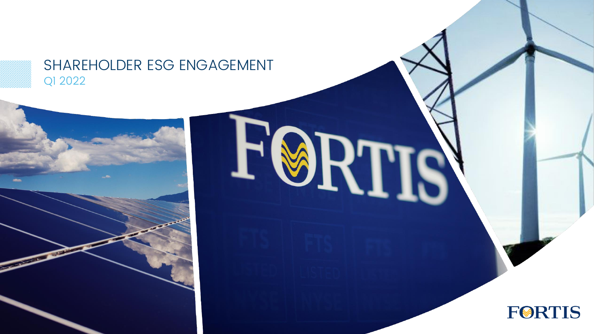### SHAREHOLDER ESG ENGAGEMENT Q1 2022

I

K.



# **FORTIS**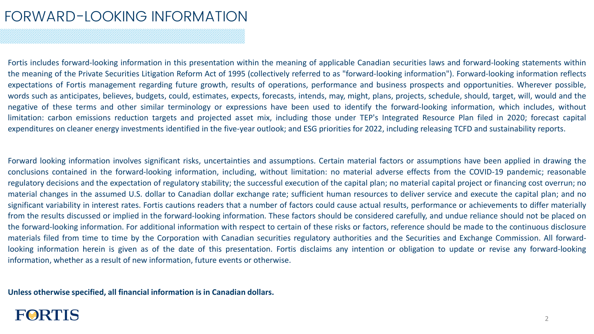### FORWARD-LOOKING INFORMATION

Fortis includes forward-looking information in this presentation within the meaning of applicable Canadian securities laws and forward-looking statements within the meaning of the Private Securities Litigation Reform Act of 1995 (collectively referred to as "forward-looking information"). Forward-looking information reflects expectations of Fortis management regarding future growth, results of operations, performance and business prospects and opportunities. Wherever possible, words such as anticipates, believes, budgets, could, estimates, expects, forecasts, intends, may, might, plans, projects, schedule, should, target, will, would and the negative of these terms and other similar terminology or expressions have been used to identify the forward-looking information, which includes, without limitation: carbon emissions reduction targets and projected asset mix, including those under TEP's Integrated Resource Plan filed in 2020; forecast capital expenditures on cleaner energy investments identified in the five-year outlook; and ESG priorities for 2022, including releasing TCFD and sustainability reports.

Forward looking information involves significant risks, uncertainties and assumptions. Certain material factors or assumptions have been applied in drawing the conclusions contained in the forward-looking information, including, without limitation: no material adverse effects from the COVID-19 pandemic; reasonable regulatory decisions and the expectation of regulatory stability; the successful execution of the capital plan; no material capital project or financing cost overrun; no material changes in the assumed U.S. dollar to Canadian dollar exchange rate; sufficient human resources to deliver service and execute the capital plan; and no significant variability in interest rates. Fortis cautions readers that a number of factors could cause actual results, performance or achievements to differ materially from the results discussed or implied in the forward-looking information. These factors should be considered carefully, and undue reliance should not be placed on the forward-looking information. For additional information with respect to certain of these risks or factors, reference should be made to the continuous disclosure materials filed from time to time by the Corporation with Canadian securities regulatory authorities and the Securities and Exchange Commission. All forwardlooking information herein is given as of the date of this presentation. Fortis disclaims any intention or obligation to update or revise any forward-looking information, whether as a result of new information, future events or otherwise.

**Unless otherwise specified, all financial information is in Canadian dollars.**

### **FØRTIS**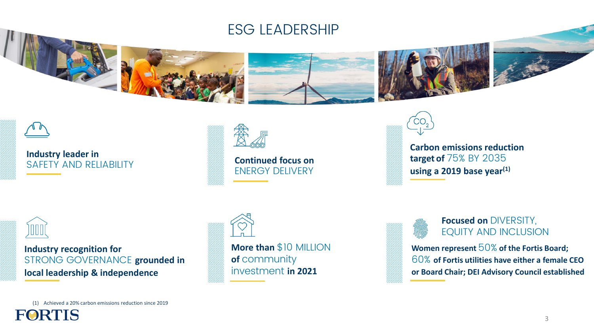



**Industry leader in**  SAFETY AND RELIABILITY



**Continued focus on** ENERGY DELIVERY



**Carbon emissions reduction target of** 75% BY 2035 **using a 2019 base year(1)**



**Industry recognition for**  STRONG GOVERNANCE **grounded in local leadership & independence**



**More than** \$10 MILLION **of** community investment **in 2021**



#### **Focused on** DIVERSITY, EQUITY AND INCLUSION

**Women represent** 50% **of the Fortis Board;**  60% **of Fortis utilities have either a female CEO or Board Chair; DEI Advisory Council established**

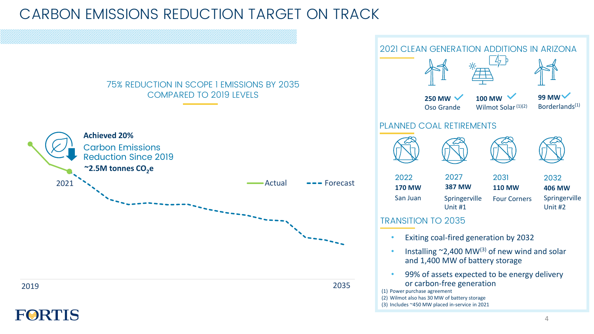### CARBON EMISSIONS REDUCTION TARGET ON TRACK

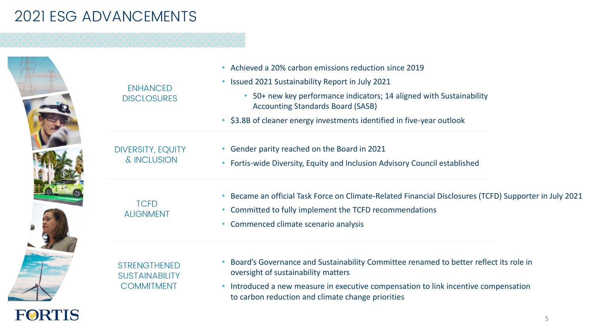## 2021 ESG ADVANCEMENTS

**FORTIS** 

|  | <b>ENHANCED</b><br><b>DISCLOSURES</b>                             | Achieved a 20% carbon emissions reduction since 2019<br>• Issued 2021 Sustainability Report in July 2021<br>50+ new key performance indicators; 14 aligned with Sustainability<br><b>Accounting Standards Board (SASB)</b><br>\$3.8B of cleaner energy investments identified in five-year outlook |
|--|-------------------------------------------------------------------|----------------------------------------------------------------------------------------------------------------------------------------------------------------------------------------------------------------------------------------------------------------------------------------------------|
|  | <b>DIVERSITY, EQUITY</b><br>& INCLUSION                           | • Gender parity reached on the Board in 2021<br>• Fortis-wide Diversity, Equity and Inclusion Advisory Council established                                                                                                                                                                         |
|  | <b>TCFD</b><br><b>ALIGNMENT</b>                                   | Became an official Task Force on Climate-Related Financial Disclosures (TCFD) Supporter in July 2021<br>• Committed to fully implement the TCFD recommendations<br>• Commenced climate scenario analysis                                                                                           |
|  | <b>STRENGTHENED</b><br><b>SUSTAINABILITY</b><br><b>COMMITMENT</b> | Board's Governance and Sustainability Committee renamed to better reflect its role in<br>oversight of sustainability matters<br>• Introduced a new measure in executive compensation to link incentive compensation<br>to carbon reduction and climate change priorities                           |